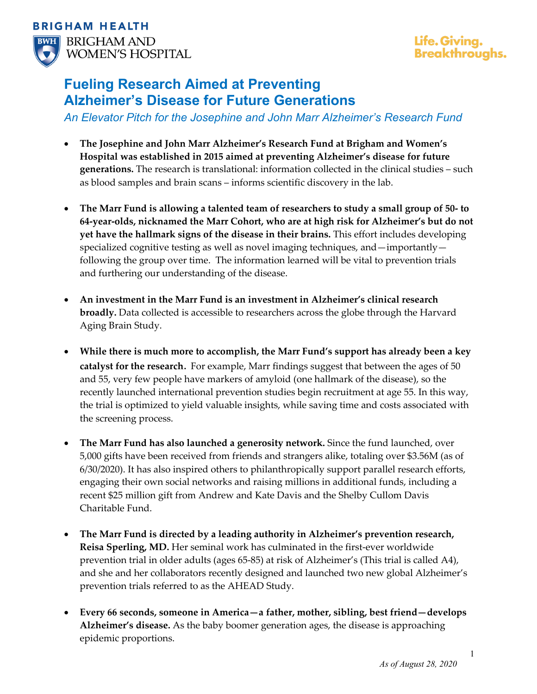Life. Giving. **Breakthroughs.** 

## **Fueling Research Aimed at Preventing Alzheimer's Disease for Future Generations**

*An Elevator Pitch for the Josephine and John Marr Alzheimer's Research Fund* 

- **The Josephine and John Marr Alzheimer's Research Fund at Brigham and Women's Hospital was established in 2015 aimed at preventing Alzheimer's disease for future generations.** The research is translational: information collected in the clinical studies – such as blood samples and brain scans – informs scientific discovery in the lab.
- **The Marr Fund is allowing a talented team of researchers to study a small group of 50- to 64-year-olds, nicknamed the Marr Cohort, who are at high risk for Alzheimer's but do not yet have the hallmark signs of the disease in their brains.** This effort includes developing specialized cognitive testing as well as novel imaging techniques, and—importantly following the group over time. The information learned will be vital to prevention trials and furthering our understanding of the disease.
- **An investment in the Marr Fund is an investment in Alzheimer's clinical research broadly.** Data collected is accessible to researchers across the globe through the Harvard Aging Brain Study.
- **While there is much more to accomplish, the Marr Fund's support has already been a key catalyst for the research**. For example, Marr findings suggest that between the ages of 50 and 55, very few people have markers of amyloid (one hallmark of the disease), so the recently launched international prevention studies begin recruitment at age 55. In this way, the trial is optimized to yield valuable insights, while saving time and costs associated with the screening process.
- **The Marr Fund has also launched a generosity network.** Since the fund launched, over 5,000 gifts have been received from friends and strangers alike, totaling over \$3.56M (as of 6/30/2020). It has also inspired others to philanthropically support parallel research efforts, engaging their own social networks and raising millions in additional funds, including a recent \$25 million gift from Andrew and Kate Davis and the Shelby Cullom Davis Charitable Fund.
- **The Marr Fund is directed by a leading authority in Alzheimer's prevention research, Reisa Sperling, MD.** Her seminal work has culminated in the first-ever worldwide prevention trial in older adults (ages 65-85) at risk of Alzheimer's (This trial is called A4), and she and her collaborators recently designed and launched two new global Alzheimer's prevention trials referred to as the AHEAD Study.
- **Every 66 seconds, someone in America—a father, mother, sibling, best friend—develops Alzheimer's disease.** As the baby boomer generation ages, the disease is approaching epidemic proportions.